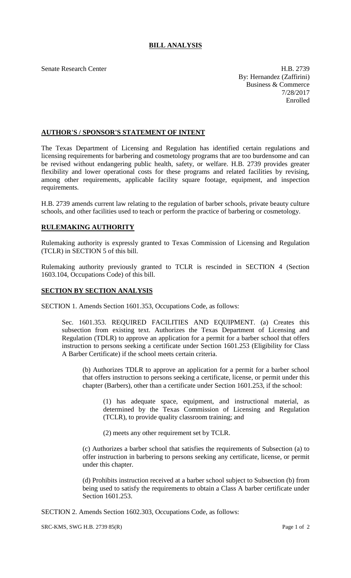## **BILL ANALYSIS**

Senate Research Center **H.B. 2739** By: Hernandez (Zaffirini) Business & Commerce 7/28/2017 Enrolled

## **AUTHOR'S / SPONSOR'S STATEMENT OF INTENT**

The Texas Department of Licensing and Regulation has identified certain regulations and licensing requirements for barbering and cosmetology programs that are too burdensome and can be revised without endangering public health, safety, or welfare. H.B. 2739 provides greater flexibility and lower operational costs for these programs and related facilities by revising, among other requirements, applicable facility square footage, equipment, and inspection requirements.

H.B. 2739 amends current law relating to the regulation of barber schools, private beauty culture schools, and other facilities used to teach or perform the practice of barbering or cosmetology.

## **RULEMAKING AUTHORITY**

Rulemaking authority is expressly granted to Texas Commission of Licensing and Regulation (TCLR) in SECTION 5 of this bill.

Rulemaking authority previously granted to TCLR is rescinded in SECTION 4 (Section 1603.104, Occupations Code) of this bill.

## **SECTION BY SECTION ANALYSIS**

SECTION 1. Amends Section 1601.353, Occupations Code, as follows:

Sec. 1601.353. REQUIRED FACILITIES AND EQUIPMENT. (a) Creates this subsection from existing text. Authorizes the Texas Department of Licensing and Regulation (TDLR) to approve an application for a permit for a barber school that offers instruction to persons seeking a certificate under Section 1601.253 (Eligibility for Class A Barber Certificate) if the school meets certain criteria.

(b) Authorizes TDLR to approve an application for a permit for a barber school that offers instruction to persons seeking a certificate, license, or permit under this chapter (Barbers), other than a certificate under Section 1601.253, if the school:

(1) has adequate space, equipment, and instructional material, as determined by the Texas Commission of Licensing and Regulation (TCLR), to provide quality classroom training; and

(2) meets any other requirement set by TCLR.

(c) Authorizes a barber school that satisfies the requirements of Subsection (a) to offer instruction in barbering to persons seeking any certificate, license, or permit under this chapter.

(d) Prohibits instruction received at a barber school subject to Subsection (b) from being used to satisfy the requirements to obtain a Class A barber certificate under Section 1601.253.

SECTION 2. Amends Section 1602.303, Occupations Code, as follows:

SRC-KMS, SWG H.B. 2739 85(R) Page 1 of 2